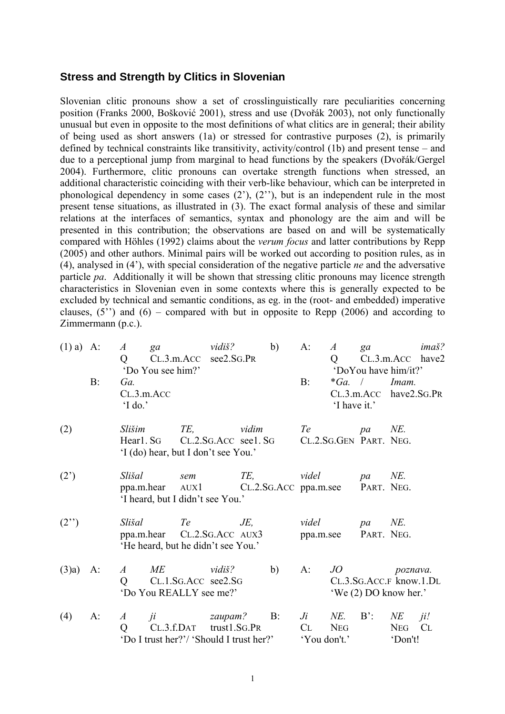## **Stress and Strength by Clitics in Slovenian**

Slovenian clitic pronouns show a set of crosslinguistically rare peculiarities concerning position (Franks 2000, Bošković 2001), stress and use (Dvořák 2003), not only functionally unusual but even in opposite to the most definitions of what clitics are in general; their ability of being used as short answers (1a) or stressed for contrastive purposes (2), is primarily defined by technical constraints like transitivity, activity/control (1b) and present tense – and due to a perceptional jump from marginal to head functions by the speakers (Dvořák/Gergel 2004). Furthermore, clitic pronouns can overtake strength functions when stressed, an additional characteristic coinciding with their verb-like behaviour, which can be interpreted in phonological dependency in some cases (2'), (2''), but is an independent rule in the most present tense situations, as illustrated in (3). The exact formal analysis of these and similar relations at the interfaces of semantics, syntax and phonology are the aim and will be presented in this contribution; the observations are based on and will be systematically compared with Höhles (1992) claims about the *verum focus* and latter contributions by Repp (2005) and other authors. Minimal pairs will be worked out according to position rules, as in (4), analysed in (4'), with special consideration of the negative particle *ne* and the adversative particle *pa*. Additionally it will be shown that stressing clitic pronouns may licence strength characteristics in Slovenian even in some contexts where this is generally expected to be excluded by technical and semantic conditions, as eg. in the (root- and embedded) imperative clauses,  $(5'')$  and  $(6)$  – compared with but in opposite to Repp (2006) and according to Zimmermann (p.c.).

| $(1)$ a) A:    |       | $\boldsymbol{A}$<br>Q<br>'Do You see him?' | ga vidiš?<br>CL.3.m.ACC see2.SG.PR                                                            | b)  | $A$ :<br>A<br>$Q \equiv$                                     | $ga$ and $qa$ and $qa$ and $qa$ and $qa$ and $qa$ and $qa$ and $qa$ and $qa$ and $qa$ and $qa$ and $qa$ and $qa$ and $qa$ and $qa$ and $qa$ and $qa$ and $qa$ and $qa$ and $qa$ and $qa$ and $qa$ and $qa$ and $qa$ and $qa$ and $qa$ and $qa$ and $qa$ a | imaš?<br>$CL.3.m. ACC$ have2<br>'DoYou have him/it?'            |
|----------------|-------|--------------------------------------------|-----------------------------------------------------------------------------------------------|-----|--------------------------------------------------------------|-----------------------------------------------------------------------------------------------------------------------------------------------------------------------------------------------------------------------------------------------------------|-----------------------------------------------------------------|
|                | $B$ : | Ga.<br>CL.3.m. ACC<br>$\mathcal{L}$ I do.' |                                                                                               |     | $B$ :                                                        | $*Ga$ . /<br>'I have it.'                                                                                                                                                                                                                                 | Imam.<br>$CL.3.m. ACC$ have $2.SG.PR$                           |
| (2)            |       | Slišim                                     | TE, vidim<br>Hearl. SG CL.2.SG. ACC see 1. SG<br>'I (do) hear, but I don't see You.'          |     | Te<br>CL.2.SG.GEN PART. NEG.                                 | pa                                                                                                                                                                                                                                                        | NE.                                                             |
| $(2^{\prime})$ |       | Slišal                                     | sem<br>ppa.m.hear AUX1 CL.2.SG.ACC ppa.m.see PART. NEG.<br>'I heard, but I didn't see You.'   | TE, | videl                                                        | pa                                                                                                                                                                                                                                                        | NE.                                                             |
| (2")           |       | Slišal                                     | Te<br>ppa.m.hear CL.2.SG.ACC AUX3<br>'He heard, but he didn't see You.'                       | JE, | videl<br>ppa.m.see                                           | pa<br>PART. NEG.                                                                                                                                                                                                                                          | NE.                                                             |
| (3)a)          | $A$ : | A<br>Q                                     | $ME$ vidiš?<br>CL.1.SG.ACC see2.SG<br>'Do You REALLY see me?'                                 | b)  | $A$ :                                                        |                                                                                                                                                                                                                                                           | JO poznava.<br>CL.3.SG.ACC.F know.1.DL<br>'We (2) DO know her.' |
| (4)            | A:    | $\boldsymbol{A}$<br>Q                      | <i>ji</i> zaupam? B:<br>$CL.3.f.DAT$ trust1.SG.PR<br>'Do I trust her?'/ 'Should I trust her?' |     | $J_i$<br>NE.<br><b>NEG</b><br>C <sub>L</sub><br>'You don't.' | $B^{\prime}$ :                                                                                                                                                                                                                                            | $N\!E$<br>ji!<br><b>NEG</b><br>CL<br>'Don't!                    |